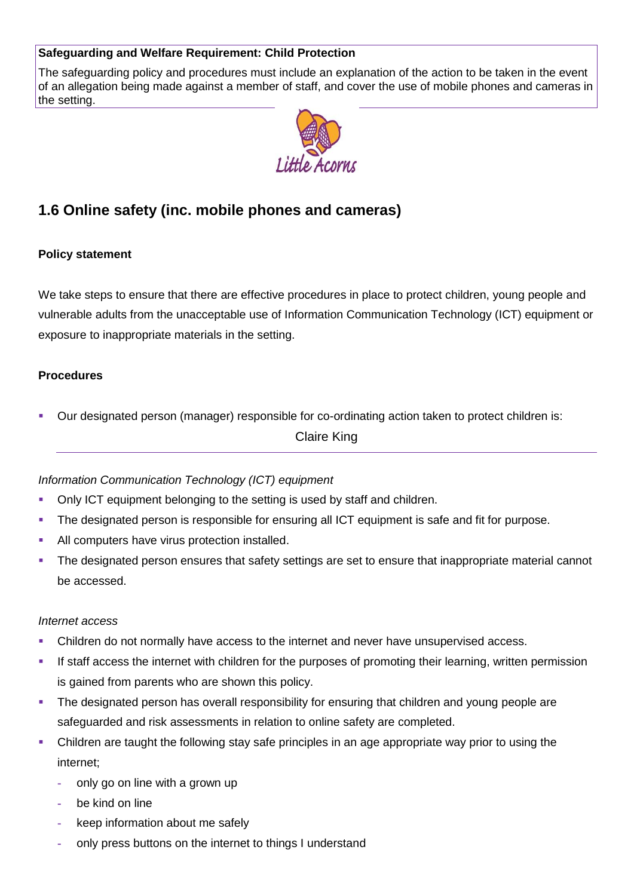# **Safeguarding and Welfare Requirement: Child Protection**

The safeguarding policy and procedures must include an explanation of the action to be taken in the event of an allegation being made against a member of staff, and cover the use of mobile phones and cameras in the setting.



# **1.6 Online safety (inc. mobile phones and cameras)**

## **Policy statement**

We take steps to ensure that there are effective procedures in place to protect children, young people and vulnerable adults from the unacceptable use of Information Communication Technology (ICT) equipment or exposure to inappropriate materials in the setting.

#### **Procedures**

Our designated person (manager) responsible for co-ordinating action taken to protect children is:

Claire King

# *Information Communication Technology (ICT) equipment*

- Only ICT equipment belonging to the setting is used by staff and children.
- The designated person is responsible for ensuring all ICT equipment is safe and fit for purpose.
- All computers have virus protection installed.
- The designated person ensures that safety settings are set to ensure that inappropriate material cannot be accessed.

#### *Internet access*

- Children do not normally have access to the internet and never have unsupervised access.
- If staff access the internet with children for the purposes of promoting their learning, written permission is gained from parents who are shown this policy.
- The designated person has overall responsibility for ensuring that children and young people are safeguarded and risk assessments in relation to online safety are completed.
- Children are taught the following stay safe principles in an age appropriate way prior to using the internet;
	- **-** only go on line with a grown up
	- **-** be kind on line
	- **-** keep information about me safely
	- **-** only press buttons on the internet to things I understand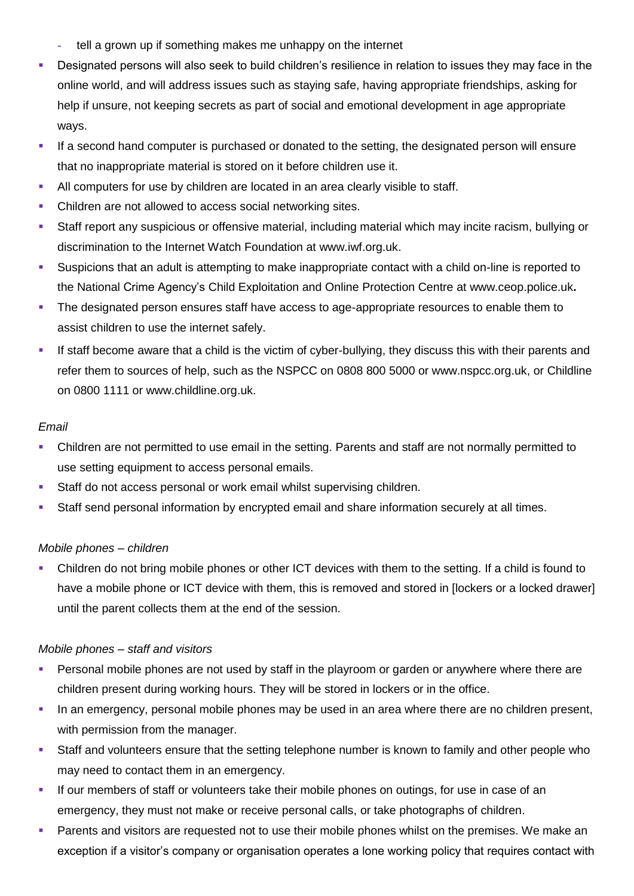- **-** tell a grown up if something makes me unhappy on the internet
- Designated persons will also seek to build children's resilience in relation to issues they may face in the online world, and will address issues such as staying safe, having appropriate friendships, asking for help if unsure, not keeping secrets as part of social and emotional development in age appropriate ways.
- If a second hand computer is purchased or donated to the setting, the designated person will ensure that no inappropriate material is stored on it before children use it.
- All computers for use by children are located in an area clearly visible to staff.
- Children are not allowed to access social networking sites.
- Staff report any suspicious or offensive material, including material which may incite racism, bullying or discrimination to the Internet Watch Foundation at [www.iwf.org.uk.](http://www.iwf.org.uk/)
- Suspicions that an adult is attempting to make inappropriate contact with a child on-line is reported to the National Crime Agency's Child Exploitation and Online Protection Centre at [www.ceop.police.uk](http://www.ceop.police.uk/)**.**
- The designated person ensures staff have access to age-appropriate resources to enable them to assist children to use the internet safely.
- If staff become aware that a child is the victim of cyber-bullying, they discuss this with their parents and refer them to sources of help, such as the NSPCC on 0808 800 5000 or www.nspcc.org.uk, or Childline on 0800 1111 or www.childline.org.uk.

#### *Email*

- Children are not permitted to use email in the setting. Parents and staff are not normally permitted to use setting equipment to access personal emails.
- Staff do not access personal or work email whilst supervising children.
- Staff send personal information by encrypted email and share information securely at all times.

#### *Mobile phones – children*

 Children do not bring mobile phones or other ICT devices with them to the setting. If a child is found to have a mobile phone or ICT device with them, this is removed and stored in [lockers or a locked drawer] until the parent collects them at the end of the session.

#### *Mobile phones – staff and visitors*

- Personal mobile phones are not used by staff in the playroom or garden or anywhere where there are children present during working hours. They will be stored in lockers or in the office.
- In an emergency, personal mobile phones may be used in an area where there are no children present, with permission from the manager.
- Staff and volunteers ensure that the setting telephone number is known to family and other people who may need to contact them in an emergency.
- If our members of staff or volunteers take their mobile phones on outings, for use in case of an emergency, they must not make or receive personal calls, or take photographs of children.
- Parents and visitors are requested not to use their mobile phones whilst on the premises. We make an exception if a visitor's company or organisation operates a lone working policy that requires contact with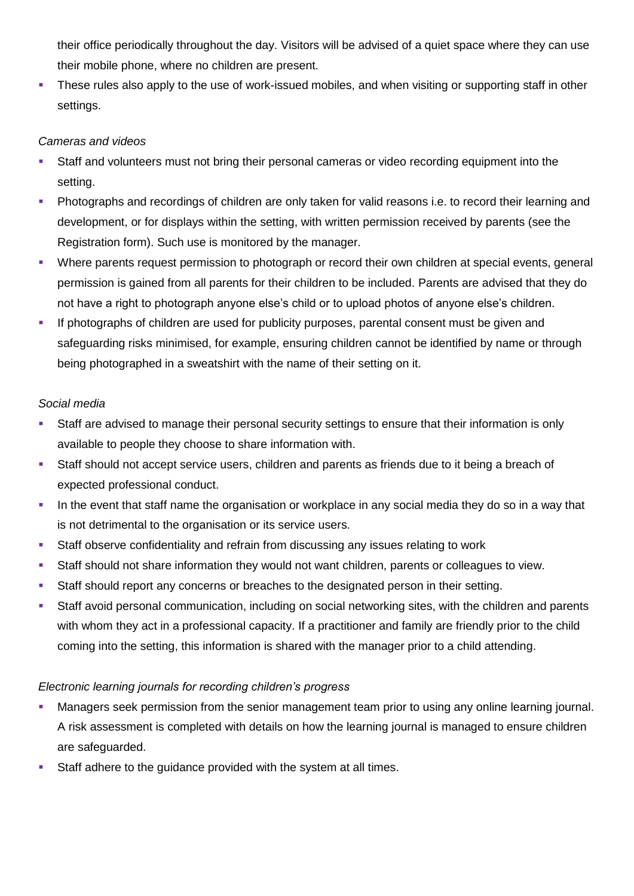their office periodically throughout the day. Visitors will be advised of a quiet space where they can use their mobile phone, where no children are present.

**These rules also apply to the use of work-issued mobiles, and when visiting or supporting staff in other** settings.

## *Cameras and videos*

- Staff and volunteers must not bring their personal cameras or video recording equipment into the setting.
- Photographs and recordings of children are only taken for valid reasons i.e. to record their learning and development, or for displays within the setting, with written permission received by parents (see the Registration form). Such use is monitored by the manager.
- Where parents request permission to photograph or record their own children at special events, general permission is gained from all parents for their children to be included. Parents are advised that they do not have a right to photograph anyone else's child or to upload photos of anyone else's children.
- If photographs of children are used for publicity purposes, parental consent must be given and safeguarding risks minimised, for example, ensuring children cannot be identified by name or through being photographed in a sweatshirt with the name of their setting on it.

## *Social media*

- Staff are advised to manage their personal security settings to ensure that their information is only available to people they choose to share information with.
- Staff should not accept service users, children and parents as friends due to it being a breach of expected professional conduct.
- In the event that staff name the organisation or workplace in any social media they do so in a way that is not detrimental to the organisation or its service users.
- Staff observe confidentiality and refrain from discussing any issues relating to work
- Staff should not share information they would not want children, parents or colleagues to view.
- Staff should report any concerns or breaches to the designated person in their setting.
- Staff avoid personal communication, including on social networking sites, with the children and parents with whom they act in a professional capacity. If a practitioner and family are friendly prior to the child coming into the setting, this information is shared with the manager prior to a child attending.

# *Electronic learning journals for recording children's progress*

- Managers seek permission from the senior management team prior to using any online learning journal. A risk assessment is completed with details on how the learning journal is managed to ensure children are safeguarded.
- Staff adhere to the guidance provided with the system at all times.